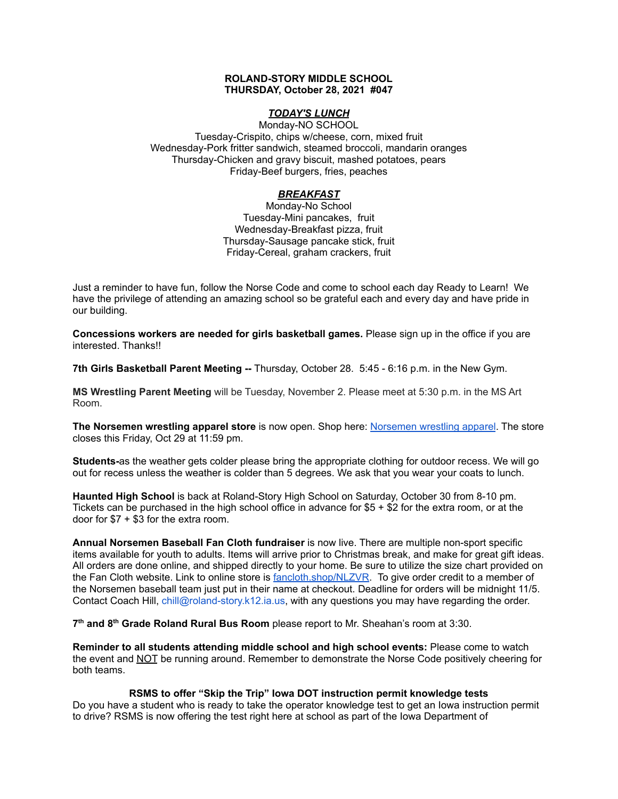## **ROLAND-STORY MIDDLE SCHOOL THURSDAY, October 28, 2021 #047**

# *TODAY'S LUNCH*

Monday-NO SCHOOL Tuesday-Crispito, chips w/cheese, corn, mixed fruit Wednesday-Pork fritter sandwich, steamed broccoli, mandarin oranges Thursday-Chicken and gravy biscuit, mashed potatoes, pears Friday-Beef burgers, fries, peaches

# *BREAKFAST*

Monday-No School Tuesday-Mini pancakes, fruit Wednesday-Breakfast pizza, fruit Thursday-Sausage pancake stick, fruit Friday-Cereal, graham crackers, fruit

Just a reminder to have fun, follow the Norse Code and come to school each day Ready to Learn! We have the privilege of attending an amazing school so be grateful each and every day and have pride in our building.

**Concessions workers are needed for girls basketball games.** Please sign up in the office if you are interested. Thanks!!

**7th Girls Basketball Parent Meeting --** Thursday, October 28. 5:45 - 6:16 p.m. in the New Gym.

**MS Wrestling Parent Meeting** will be Tuesday, November 2. Please meet at 5:30 p.m. in the MS Art Room.

**The Norsemen wrestling apparel store** is now open. Shop here: [Norsemen](https://rswrestling21.itemorder.com/shop/sale/?saleCode=W8UP3) wrestling apparel. The store closes this Friday, Oct 29 at 11:59 pm.

**Students-**as the weather gets colder please bring the appropriate clothing for outdoor recess. We will go out for recess unless the weather is colder than 5 degrees. We ask that you wear your coats to lunch.

**Haunted High School** is back at Roland-Story High School on Saturday, October 30 from 8-10 pm. Tickets can be purchased in the high school office in advance for \$5 + \$2 for the extra room, or at the door for \$7 + \$3 for the extra room.

**Annual Norsemen Baseball Fan Cloth fundraiser** is now live. There are multiple non-sport specific items available for youth to adults. Items will arrive prior to Christmas break, and make for great gift ideas. All orders are done online, and shipped directly to your home. Be sure to utilize the size chart provided on the Fan Cloth website. Link to online store is [fancloth.shop/NLZVR.](http://fancloth.shop/NLZVR) To give order credit to a member of the Norsemen baseball team just put in their name at checkout. Deadline for orders will be midnight 11/5. Contact Coach Hill, chill@roland-story.k12.ia.us, with any questions you may have regarding the order.

**7 th and 8 th Grade Roland Rural Bus Room** please report to Mr. Sheahan's room at 3:30.

**Reminder to all students attending middle school and high school events:** Please come to watch the event and NOT be running around. Remember to demonstrate the Norse Code positively cheering for both teams.

**RSMS to offer "Skip the Trip" Iowa DOT instruction permit knowledge tests**

Do you have a student who is ready to take the operator knowledge test to get an Iowa instruction permit to drive? RSMS is now offering the test right here at school as part of the Iowa Department of